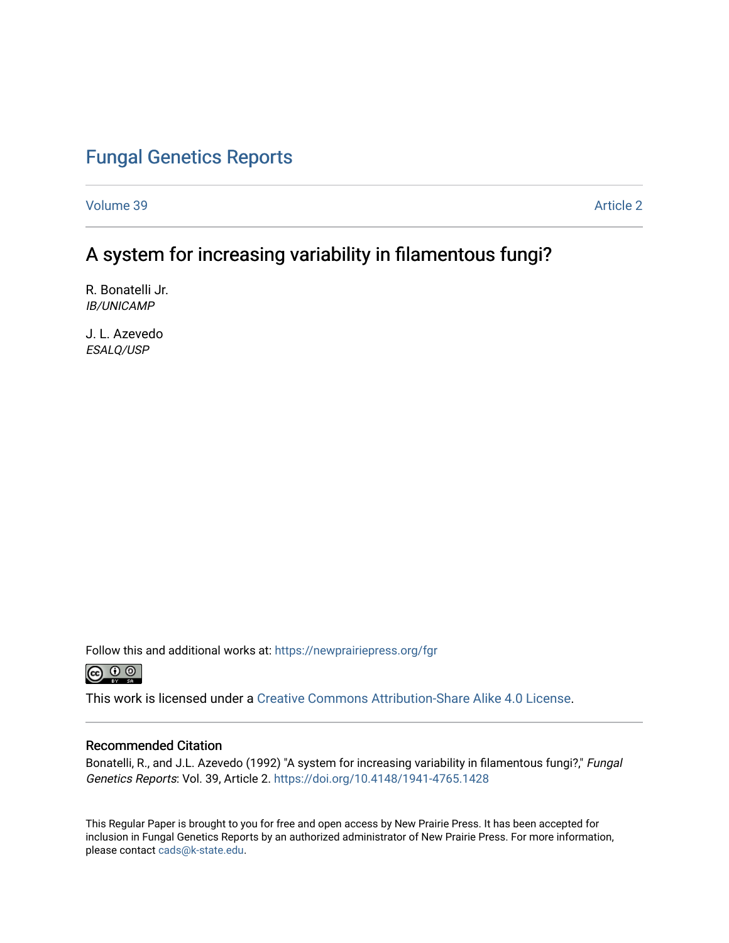## [Fungal Genetics Reports](https://newprairiepress.org/fgr)

[Volume 39](https://newprairiepress.org/fgr/vol39) [Article 2](https://newprairiepress.org/fgr/vol39/iss1/2) 

## A system for increasing variability in filamentous fungi?

R. Bonatelli Jr. IB/UNICAMP

J. L. Azevedo ESALQ/USP

Follow this and additional works at: [https://newprairiepress.org/fgr](https://newprairiepress.org/fgr?utm_source=newprairiepress.org%2Ffgr%2Fvol39%2Fiss1%2F2&utm_medium=PDF&utm_campaign=PDFCoverPages) 



This work is licensed under a [Creative Commons Attribution-Share Alike 4.0 License.](https://creativecommons.org/licenses/by-sa/4.0/)

#### Recommended Citation

Bonatelli, R., and J.L. Azevedo (1992) "A system for increasing variability in filamentous fungi?," Fungal Genetics Reports: Vol. 39, Article 2.<https://doi.org/10.4148/1941-4765.1428>

This Regular Paper is brought to you for free and open access by New Prairie Press. It has been accepted for inclusion in Fungal Genetics Reports by an authorized administrator of New Prairie Press. For more information, please contact [cads@k-state.edu.](mailto:cads@k-state.edu)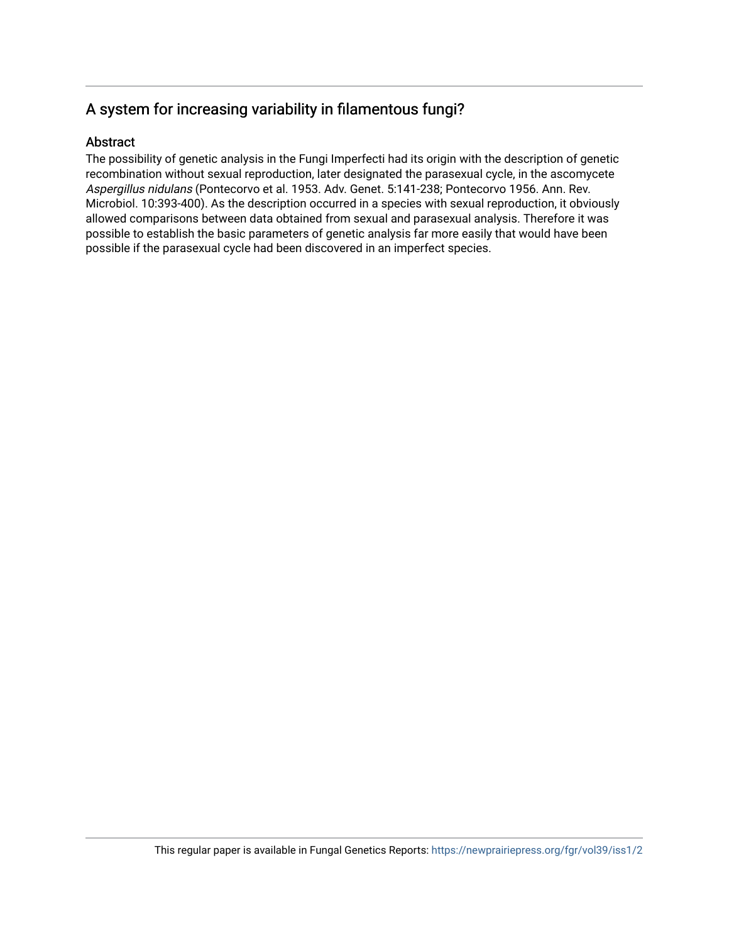### A system for increasing variability in filamentous fungi?

#### **Abstract**

The possibility of genetic analysis in the Fungi Imperfecti had its origin with the description of genetic recombination without sexual reproduction, later designated the parasexual cycle, in the ascomycete Aspergillus nidulans (Pontecorvo et al. 1953. Adv. Genet. 5:141-238; Pontecorvo 1956. Ann. Rev. Microbiol. 10:393-400). As the description occurred in a species with sexual reproduction, it obviously allowed comparisons between data obtained from sexual and parasexual analysis. Therefore it was possible to establish the basic parameters of genetic analysis far more easily that would have been possible if the parasexual cycle had been discovered in an imperfect species.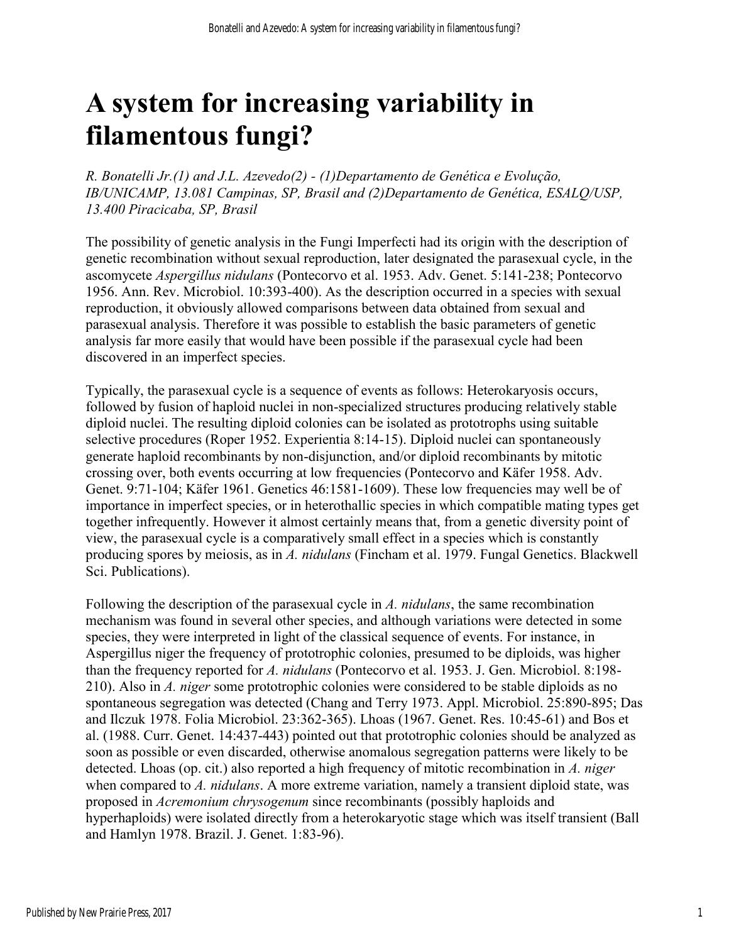# **A system for increasing variability in filamentous fungi?**

*R. Bonatelli Jr.(1) and J.L. Azevedo(2) - (1)Departamento de Genética e Evolução, IB/UNICAMP, 13.081 Campinas, SP, Brasil and (2)Departamento de Genética, ESALQ/USP, 13.400 Piracicaba, SP, Brasil* 

The possibility of genetic analysis in the Fungi Imperfecti had its origin with the description of genetic recombination without sexual reproduction, later designated the parasexual cycle, in the ascomycete *Aspergillus nidulans* (Pontecorvo et al. 1953. Adv. Genet. 5:141-238; Pontecorvo 1956. Ann. Rev. Microbiol. 10:393-400). As the description occurred in a species with sexual reproduction, it obviously allowed comparisons between data obtained from sexual and parasexual analysis. Therefore it was possible to establish the basic parameters of genetic analysis far more easily that would have been possible if the parasexual cycle had been discovered in an imperfect species.

Typically, the parasexual cycle is a sequence of events as follows: Heterokaryosis occurs, followed by fusion of haploid nuclei in non-specialized structures producing relatively stable diploid nuclei. The resulting diploid colonies can be isolated as prototrophs using suitable selective procedures (Roper 1952. Experientia 8:14-15). Diploid nuclei can spontaneously generate haploid recombinants by non-disjunction, and/or diploid recombinants by mitotic crossing over, both events occurring at low frequencies (Pontecorvo and Käfer 1958. Adv. Genet. 9:71-104; Käfer 1961. Genetics 46:1581-1609). These low frequencies may well be of importance in imperfect species, or in heterothallic species in which compatible mating types get together infrequently. However it almost certainly means that, from a genetic diversity point of view, the parasexual cycle is a comparatively small effect in a species which is constantly producing spores by meiosis, as in *A. nidulans* (Fincham et al. 1979. Fungal Genetics. Blackwell Sci. Publications).

Following the description of the parasexual cycle in *A. nidulans*, the same recombination mechanism was found in several other species, and although variations were detected in some species, they were interpreted in light of the classical sequence of events. For instance, in Aspergillus niger the frequency of prototrophic colonies, presumed to be diploids, was higher than the frequency reported for *A. nidulans* (Pontecorvo et al. 1953. J. Gen. Microbiol. 8:198- 210). Also in *A. niger* some prototrophic colonies were considered to be stable diploids as no spontaneous segregation was detected (Chang and Terry 1973. Appl. Microbiol. 25:890-895; Das and Ilczuk 1978. Folia Microbiol. 23:362-365). Lhoas (1967. Genet. Res. 10:45-61) and Bos et al. (1988. Curr. Genet. 14:437-443) pointed out that prototrophic colonies should be analyzed as soon as possible or even discarded, otherwise anomalous segregation patterns were likely to be detected. Lhoas (op. cit.) also reported a high frequency of mitotic recombination in *A. niger* when compared to *A. nidulans*. A more extreme variation, namely a transient diploid state, was proposed in *Acremonium chrysogenum* since recombinants (possibly haploids and hyperhaploids) were isolated directly from a heterokaryotic stage which was itself transient (Ball and Hamlyn 1978. Brazil. J. Genet. 1:83-96).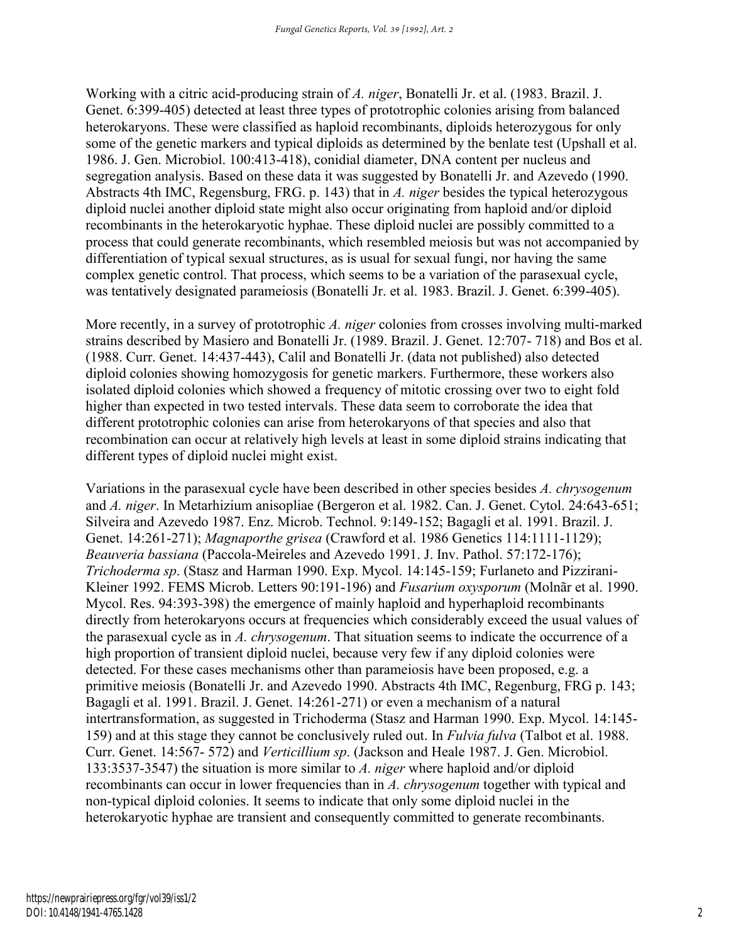Working with a citric acid-producing strain of *A. niger*, Bonatelli Jr. et al. (1983. Brazil. J. Genet. 6:399-405) detected at least three types of prototrophic colonies arising from balanced heterokaryons. These were classified as haploid recombinants, diploids heterozygous for only some of the genetic markers and typical diploids as determined by the benlate test (Upshall et al. 1986. J. Gen. Microbiol. 100:413-418), conidial diameter, DNA content per nucleus and segregation analysis. Based on these data it was suggested by Bonatelli Jr. and Azevedo (1990. Abstracts 4th IMC, Regensburg, FRG. p. 143) that in *A. niger* besides the typical heterozygous diploid nuclei another diploid state might also occur originating from haploid and/or diploid recombinants in the heterokaryotic hyphae. These diploid nuclei are possibly committed to a process that could generate recombinants, which resembled meiosis but was not accompanied by differentiation of typical sexual structures, as is usual for sexual fungi, nor having the same complex genetic control. That process, which seems to be a variation of the parasexual cycle, was tentatively designated parameiosis (Bonatelli Jr. et al. 1983. Brazil. J. Genet. 6:399-405).

More recently, in a survey of prototrophic *A. niger* colonies from crosses involving multi-marked strains described by Masiero and Bonatelli Jr. (1989. Brazil. J. Genet. 12:707- 718) and Bos et al. (1988. Curr. Genet. 14:437-443), Calil and Bonatelli Jr. (data not published) also detected diploid colonies showing homozygosis for genetic markers. Furthermore, these workers also isolated diploid colonies which showed a frequency of mitotic crossing over two to eight fold higher than expected in two tested intervals. These data seem to corroborate the idea that different prototrophic colonies can arise from heterokaryons of that species and also that recombination can occur at relatively high levels at least in some diploid strains indicating that different types of diploid nuclei might exist.

Variations in the parasexual cycle have been described in other species besides *A. chrysogenum* and *A. niger*. In Metarhizium anisopliae (Bergeron et al. 1982. Can. J. Genet. Cytol. 24:643-651; Silveira and Azevedo 1987. Enz. Microb. Technol. 9:149-152; Bagagli et al. 1991. Brazil. J. Genet. 14:261-271); *Magnaporthe grisea* (Crawford et al. 1986 Genetics 114:1111-1129); *Beauveria bassiana* (Paccola-Meireles and Azevedo 1991. J. Inv. Pathol. 57:172-176); *Trichoderma sp*. (Stasz and Harman 1990. Exp. Mycol. 14:145-159; Furlaneto and Pizzirani-Kleiner 1992. FEMS Microb. Letters 90:191-196) and *Fusarium oxysporum* (Molnãr et al. 1990. Mycol. Res. 94:393-398) the emergence of mainly haploid and hyperhaploid recombinants directly from heterokaryons occurs at frequencies which considerably exceed the usual values of the parasexual cycle as in *A. chrysogenum*. That situation seems to indicate the occurrence of a high proportion of transient diploid nuclei, because very few if any diploid colonies were detected. For these cases mechanisms other than parameiosis have been proposed, e.g. a primitive meiosis (Bonatelli Jr. and Azevedo 1990. Abstracts 4th IMC, Regenburg, FRG p. 143; Bagagli et al. 1991. Brazil. J. Genet. 14:261-271) or even a mechanism of a natural intertransformation, as suggested in Trichoderma (Stasz and Harman 1990. Exp. Mycol. 14:145- 159) and at this stage they cannot be conclusively ruled out. In *Fulvia fulva* (Talbot et al. 1988. Curr. Genet. 14:567- 572) and *Verticillium sp*. (Jackson and Heale 1987. J. Gen. Microbiol. 133:3537-3547) the situation is more similar to *A. niger* where haploid and/or diploid recombinants can occur in lower frequencies than in *A. chrysogenum* together with typical and non-typical diploid colonies. It seems to indicate that only some diploid nuclei in the heterokaryotic hyphae are transient and consequently committed to generate recombinants.